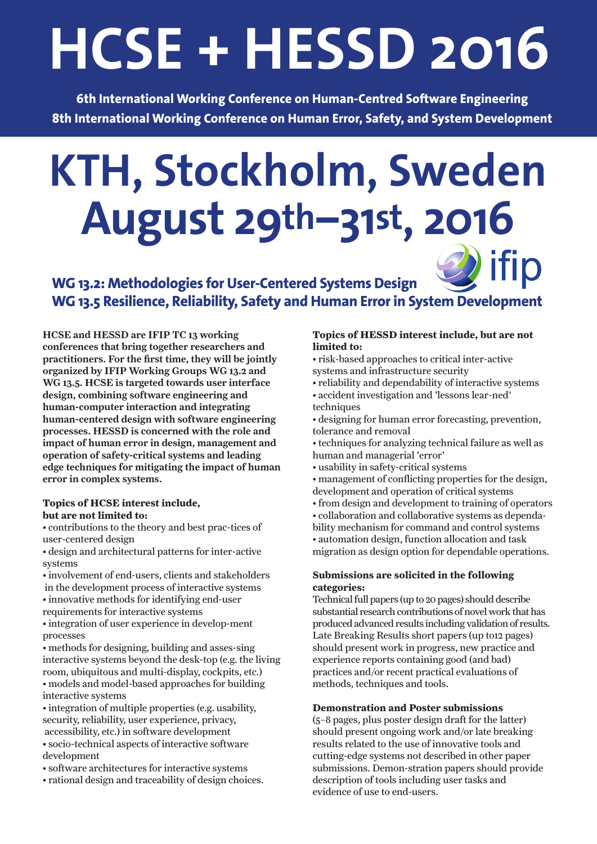# **HCSE + HESSD 2016**

**6th International Working Conference on Human-Centred Software Engineering 8th International Working Conference on Human Error, Safety, and System Development**

# **KTH, Stockholm, Sweden August 29th−31st, 2016**

## ifip **WG 13.2: Methodologies for User-Centered Systems Design WG 13.5 Resilience, Reliability, Safety and Human Error in System Development**

HCSE and HESSD are IFIP TC 13 working conferences that bring together researchers and practitioners. For the first time, they will be jointly organized by IFIP Working Groups WG 13.2 and WG 13.5. HCSE is targeted towards user interface design, combining software engineering and human-computer interaction and integrating human-centered design with software engineering processes. HESSD is concerned with the role and impact of human error in design, management and operation of safety-critical systems and leading edge techniques for mitigating the impact of human error in complex systems.

#### **Topics of HCSE interest include, but are not limited to:**

- contributions to the theory and best prac-tices of user-centered design
- design and architectural patterns for inter-active systems
- involvement of end-users, clients and stakeholders in the development process of interactive systems • innovative methods for identifying end-user requirements for interactive systems
- integration of user experience in develop-ment processes
- methods for designing, building and asses-sing interactive systems beyond the desk-top (e.g. the living room, ubiquitous and multi-display, cockpits, etc.) • models and model-based approaches for building interactive systems
- integration of multiple properties (e.g. usability, security, reliability, user experience, privacy, accessibility, etc.) in software development
- socio-technical aspects of interactive software development
- software architectures for interactive systems
- rational design and traceability of design choices.

#### **Topics of HESSD interest include, but are not limited to:**

- risk-based approaches to critical inter-active systems and infrastructure security
- reliability and dependability of interactive systems
- accident investigation and 'lessons lear-ned' techniques
- designing for human error forecasting, prevention, tolerance and removal
- techniques for analyzing technical failure as well as human and managerial 'error'
- usability in safety-critical systems
- management of conflicting properties for the design,
- development and operation of critical systems
- from design and development to training of operators
- collaboration and collaborative systems as dependability mechanism for command and control systems
- automation design, function allocation and task migration as design option for dependable operations.

#### **Submissions are solicited in the following categories:**

Technical full papers (up to 20 pages) should describe substantial research contributions of novel work that has produced advanced results including validation of results. Late Breaking Results short papers (up to12 pages) should present work in progress, new practice and experience reports containing good (and bad) practices and/or recent practical evaluations of methods, techniques and tools.

#### **Demonstration and Poster submissions**

(5–8 pages, plus poster design draft for the latter) should present ongoing work and/or late breaking results related to the use of innovative tools and cutting-edge systems not described in other paper submissions. Demon-stration papers should provide description of tools including user tasks and evidence of use to end-users.